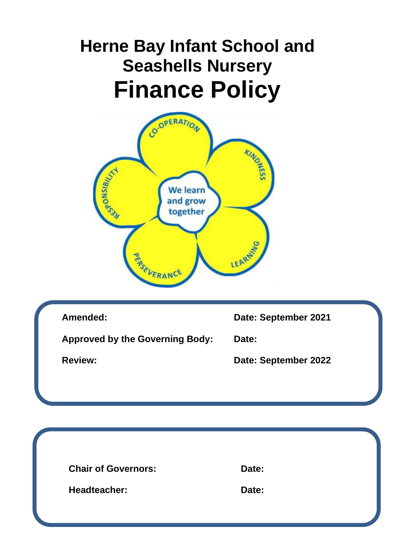# **Herne Bay Infant School and Seashells Nursery Finance Policy**



| Amended:                               | Date: September 2021 |
|----------------------------------------|----------------------|
| <b>Approved by the Governing Body:</b> | Date:                |
| <b>Review:</b>                         | Date: September 2022 |
|                                        |                      |
|                                        |                      |
|                                        |                      |
|                                        |                      |
| <b>Chair of Governors:</b>             | Date:                |
| <b>Headteacher:</b>                    | Date:                |
|                                        |                      |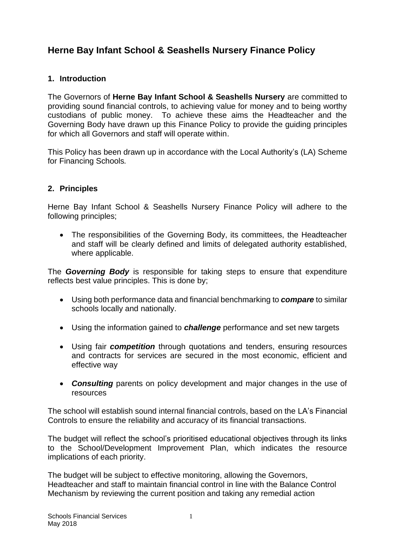# **Herne Bay Infant School & Seashells Nursery Finance Policy**

# **1. Introduction**

The Governors of **Herne Bay Infant School & Seashells Nursery** are committed to providing sound financial controls, to achieving value for money and to being worthy custodians of public money. To achieve these aims the Headteacher and the Governing Body have drawn up this Finance Policy to provide the guiding principles for which all Governors and staff will operate within.

This Policy has been drawn up in accordance with the Local Authority's (LA) Scheme for Financing Schools*.*

# **2. Principles**

Herne Bay Infant School & Seashells Nursery Finance Policy will adhere to the following principles;

• The responsibilities of the Governing Body, its committees, the Headteacher and staff will be clearly defined and limits of delegated authority established, where applicable.

The *Governing Body* is responsible for taking steps to ensure that expenditure reflects best value principles. This is done by;

- Using both performance data and financial benchmarking to *compare* to similar schools locally and nationally.
- Using the information gained to *challenge* performance and set new targets
- Using fair *competition* through quotations and tenders, ensuring resources and contracts for services are secured in the most economic, efficient and effective way
- *Consulting* parents on policy development and major changes in the use of resources

The school will establish sound internal financial controls, based on the LA's Financial Controls to ensure the reliability and accuracy of its financial transactions.

The budget will reflect the school's prioritised educational objectives through its links to the School/Development Improvement Plan, which indicates the resource implications of each priority.

The budget will be subject to effective monitoring, allowing the Governors, Headteacher and staff to maintain financial control in line with the Balance Control Mechanism by reviewing the current position and taking any remedial action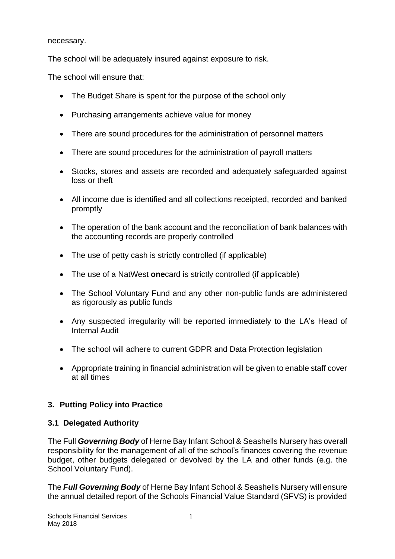necessary.

The school will be adequately insured against exposure to risk.

The school will ensure that:

- The Budget Share is spent for the purpose of the school only
- Purchasing arrangements achieve value for money
- There are sound procedures for the administration of personnel matters
- There are sound procedures for the administration of payroll matters
- Stocks, stores and assets are recorded and adequately safeguarded against loss or theft
- All income due is identified and all collections receipted, recorded and banked promptly
- The operation of the bank account and the reconciliation of bank balances with the accounting records are properly controlled
- The use of petty cash is strictly controlled (if applicable)
- The use of a NatWest **one**card is strictly controlled (if applicable)
- The School Voluntary Fund and any other non-public funds are administered as rigorously as public funds
- Any suspected irregularity will be reported immediately to the LA's Head of Internal Audit
- The school will adhere to current GDPR and Data Protection legislation
- Appropriate training in financial administration will be given to enable staff cover at all times

# **3. Putting Policy into Practice**

# **3.1 Delegated Authority**

The Full *Governing Body* of Herne Bay Infant School & Seashells Nursery has overall responsibility for the management of all of the school's finances covering the revenue budget, other budgets delegated or devolved by the LA and other funds (e.g. the School Voluntary Fund).

The *Full Governing Body* of Herne Bay Infant School & Seashells Nursery will ensure the annual detailed report of the Schools Financial Value Standard (SFVS) is provided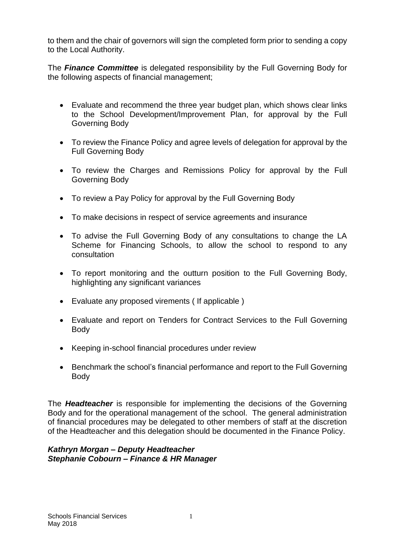to them and the chair of governors will sign the completed form prior to sending a copy to the Local Authority.

The *Finance Committee* is delegated responsibility by the Full Governing Body for the following aspects of financial management;

- Evaluate and recommend the three year budget plan, which shows clear links to the School Development/Improvement Plan, for approval by the Full Governing Body
- To review the Finance Policy and agree levels of delegation for approval by the Full Governing Body
- To review the Charges and Remissions Policy for approval by the Full Governing Body
- To review a Pay Policy for approval by the Full Governing Body
- To make decisions in respect of service agreements and insurance
- To advise the Full Governing Body of any consultations to change the LA Scheme for Financing Schools, to allow the school to respond to any consultation
- To report monitoring and the outturn position to the Full Governing Body, highlighting any significant variances
- Evaluate any proposed virements ( If applicable )
- Evaluate and report on Tenders for Contract Services to the Full Governing Body
- Keeping in-school financial procedures under review
- Benchmark the school's financial performance and report to the Full Governing Body

The *Headteacher* is responsible for implementing the decisions of the Governing Body and for the operational management of the school. The general administration of financial procedures may be delegated to other members of staff at the discretion of the Headteacher and this delegation should be documented in the Finance Policy.

#### *Kathryn Morgan – Deputy Headteacher Stephanie Cobourn – Finance & HR Manager*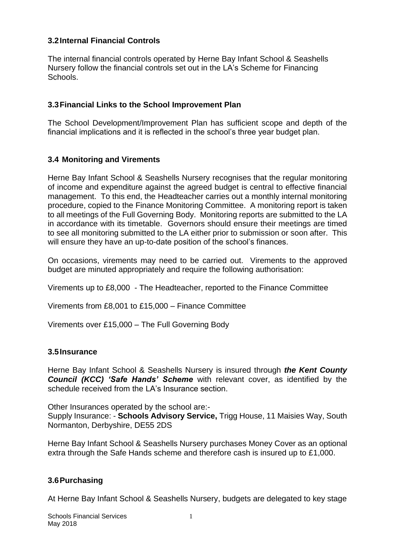## **3.2Internal Financial Controls**

The internal financial controls operated by Herne Bay Infant School & Seashells Nursery follow the financial controls set out in the LA's Scheme for Financing Schools.

#### **3.3Financial Links to the School Improvement Plan**

The School Development/Improvement Plan has sufficient scope and depth of the financial implications and it is reflected in the school's three year budget plan.

#### **3.4 Monitoring and Virements**

Herne Bay Infant School & Seashells Nursery recognises that the regular monitoring of income and expenditure against the agreed budget is central to effective financial management. To this end, the Headteacher carries out a monthly internal monitoring procedure, copied to the Finance Monitoring Committee. A monitoring report is taken to all meetings of the Full Governing Body. Monitoring reports are submitted to the LA in accordance with its timetable. Governors should ensure their meetings are timed to see all monitoring submitted to the LA either prior to submission or soon after. This will ensure they have an up-to-date position of the school's finances.

On occasions, virements may need to be carried out. Virements to the approved budget are minuted appropriately and require the following authorisation:

Virements up to £8,000 - The Headteacher, reported to the Finance Committee

Virements from £8,001 to £15,000 – Finance Committee

Virements over £15,000 – The Full Governing Body

#### **3.5Insurance**

Herne Bay Infant School & Seashells Nursery is insured through *the Kent County Council (KCC) 'Safe Hands' Scheme* with relevant cover, as identified by the schedule received from the LA's Insurance section.

Other Insurances operated by the school are:- Supply Insurance: - **Schools Advisory Service,** Trigg House, 11 Maisies Way, South Normanton, Derbyshire, DE55 2DS

Herne Bay Infant School & Seashells Nursery purchases Money Cover as an optional extra through the Safe Hands scheme and therefore cash is insured up to £1,000.

# **3.6Purchasing**

At Herne Bay Infant School & Seashells Nursery, budgets are delegated to key stage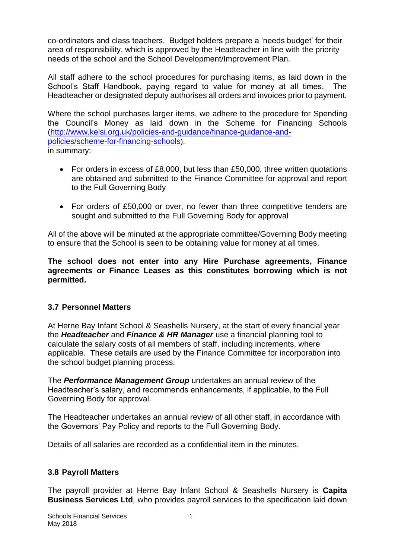co-ordinators and class teachers. Budget holders prepare a 'needs budget' for their area of responsibility, which is approved by the Headteacher in line with the priority needs of the school and the School Development/Improvement Plan.

All staff adhere to the school procedures for purchasing items, as laid down in the School's Staff Handbook, paying regard to value for money at all times. The Headteacher or designated deputy authorises all orders and invoices prior to payment.

Where the school purchases larger items, we adhere to the procedure for Spending the Council's Money as laid down in the Scheme for Financing Schools [\(http://www.kelsi.org.uk/policies-and-guidance/finance-guidance-and](about:blank)[policies/scheme-for-financing-schools](about:blank)), in summary:

- For orders in excess of £8,000, but less than £50,000, three written quotations are obtained and submitted to the Finance Committee for approval and report to the Full Governing Body
- For orders of £50,000 or over, no fewer than three competitive tenders are sought and submitted to the Full Governing Body for approval

All of the above will be minuted at the appropriate committee/Governing Body meeting to ensure that the School is seen to be obtaining value for money at all times.

**The school does not enter into any Hire Purchase agreements, Finance agreements or Finance Leases as this constitutes borrowing which is not permitted.**

# **3.7 Personnel Matters**

At Herne Bay Infant School & Seashells Nursery, at the start of every financial year the *Headteacher* and *Finance & HR Manager* use a financial planning tool to calculate the salary costs of all members of staff, including increments, where applicable. These details are used by the Finance Committee for incorporation into the school budget planning process.

The *Performance Management Group* undertakes an annual review of the Headteacher's salary, and recommends enhancements, if applicable, to the Full Governing Body for approval.

The Headteacher undertakes an annual review of all other staff, in accordance with the Governors' Pay Policy and reports to the Full Governing Body.

Details of all salaries are recorded as a confidential item in the minutes.

# **3.8 Payroll Matters**

The payroll provider at Herne Bay Infant School & Seashells Nursery is **Capita Business Services Ltd***,* who provides payroll services to the specification laid down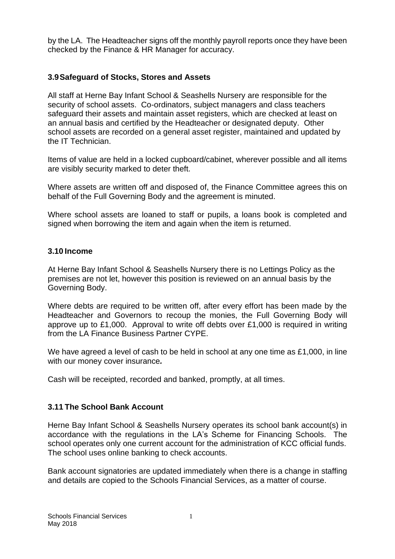by the LA. The Headteacher signs off the monthly payroll reports once they have been checked by the Finance & HR Manager for accuracy.

## **3.9Safeguard of Stocks, Stores and Assets**

All staff at Herne Bay Infant School & Seashells Nursery are responsible for the security of school assets. Co-ordinators, subject managers and class teachers safeguard their assets and maintain asset registers, which are checked at least on an annual basis and certified by the Headteacher or designated deputy. Other school assets are recorded on a general asset register, maintained and updated by the IT Technician.

Items of value are held in a locked cupboard/cabinet, wherever possible and all items are visibly security marked to deter theft.

Where assets are written off and disposed of, the Finance Committee agrees this on behalf of the Full Governing Body and the agreement is minuted.

Where school assets are loaned to staff or pupils, a loans book is completed and signed when borrowing the item and again when the item is returned.

#### **3.10 Income**

At Herne Bay Infant School & Seashells Nursery there is no Lettings Policy as the premises are not let, however this position is reviewed on an annual basis by the Governing Body.

Where debts are required to be written off, after every effort has been made by the Headteacher and Governors to recoup the monies, the Full Governing Body will approve up to £1,000. Approval to write off debts over £1,000 is required in writing from the LA Finance Business Partner CYPE.

We have agreed a level of cash to be held in school at any one time as £1,000, in line with our money cover insurance*.* 

Cash will be receipted, recorded and banked, promptly, at all times.

#### **3.11 The School Bank Account**

Herne Bay Infant School & Seashells Nursery operates its school bank account(s) in accordance with the regulations in the LA's Scheme for Financing Schools.The school operates only one current account for the administration of KCC official funds. The school uses online banking to check accounts.

Bank account signatories are updated immediately when there is a change in staffing and details are copied to the Schools Financial Services, as a matter of course.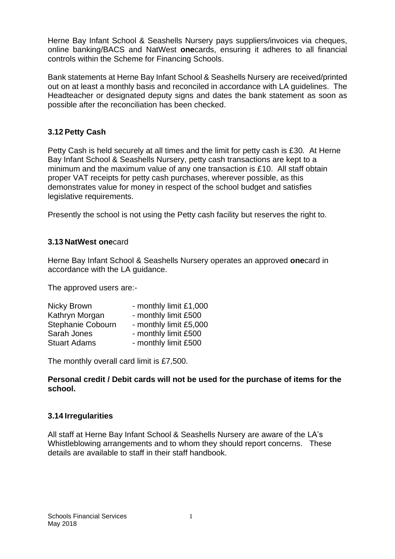Herne Bay Infant School & Seashells Nursery pays suppliers/invoices via cheques, online banking/BACS and NatWest **one**cards, ensuring it adheres to all financial controls within the Scheme for Financing Schools.

Bank statements at Herne Bay Infant School & Seashells Nursery are received/printed out on at least a monthly basis and reconciled in accordance with LA guidelines. The Headteacher or designated deputy signs and dates the bank statement as soon as possible after the reconciliation has been checked.

# **3.12 Petty Cash**

Petty Cash is held securely at all times and the limit for petty cash is £30*.* At Herne Bay Infant School & Seashells Nursery, petty cash transactions are kept to a minimum and the maximum value of any one transaction is £10. All staff obtain proper VAT receipts for petty cash purchases, wherever possible, as this demonstrates value for money in respect of the school budget and satisfies legislative requirements.

Presently the school is not using the Petty cash facility but reserves the right to.

# **3.13 NatWest one**card

Herne Bay Infant School & Seashells Nursery operates an approved **one**card in accordance with the LA guidance.

The approved users are:-

| - monthly limit £1,000 |
|------------------------|
| - monthly limit £500   |
| - monthly limit £5,000 |
| - monthly limit £500   |
| - monthly limit £500   |
|                        |

The monthly overall card limit is £7,500.

#### **Personal credit / Debit cards will not be used for the purchase of items for the school.**

# **3.14 Irregularities**

All staff at Herne Bay Infant School & Seashells Nursery are aware of the LA's Whistleblowing arrangements and to whom they should report concerns. These details are available to staff in their staff handbook.